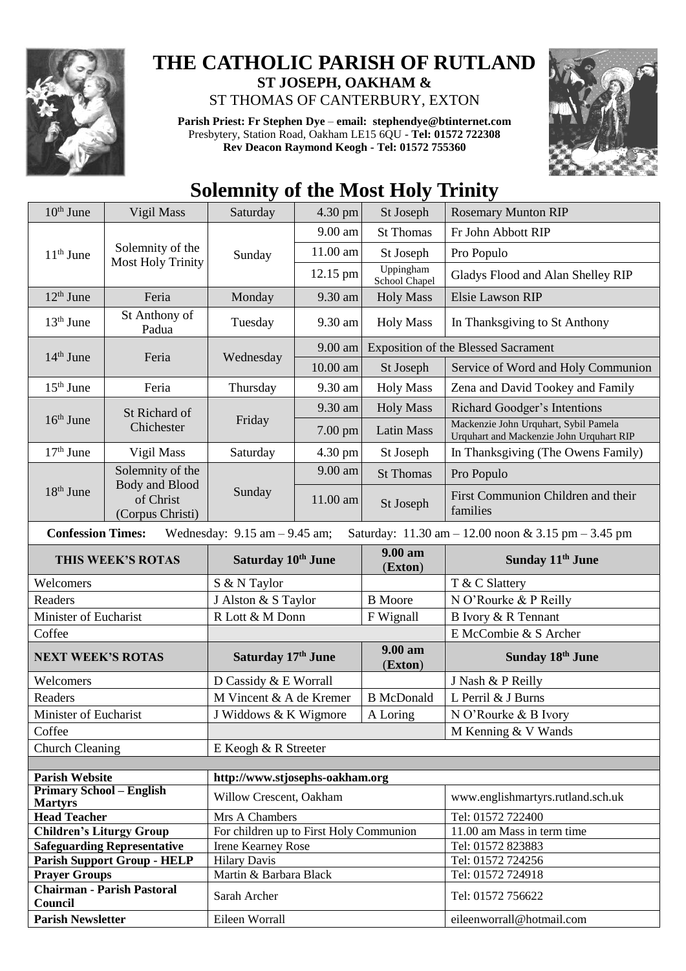

## **THE CATHOLIC PARISH OF RUTLAND ST JOSEPH, OAKHAM &**  ST THOMAS OF CANTERBURY, EXTON

**Parish Priest: Fr Stephen Dye** – **[email: stephendye@btinternet.com](mailto:email:%20%20stephendye@btinternet.com)** Presbytery, Station Road, Oakham LE15 6QU - **Tel: 01572 722308 Rev Deacon Raymond Keogh - Tel: 01572 755360**



## **Solemnity of the Most Holy Trinity**

| $10th$ June                                                                                                          | Vigil Mass                                                          | Saturday                                | 4.30 pm    | St Joseph                  | <b>Rosemary Munton RIP</b>                                                        |  |
|----------------------------------------------------------------------------------------------------------------------|---------------------------------------------------------------------|-----------------------------------------|------------|----------------------------|-----------------------------------------------------------------------------------|--|
| $11th$ June                                                                                                          | Solemnity of the<br><b>Most Holy Trinity</b>                        | Sunday                                  | 9.00 am    | <b>St Thomas</b>           | Fr John Abbott RIP                                                                |  |
|                                                                                                                      |                                                                     |                                         | 11.00 am   | St Joseph                  | Pro Populo                                                                        |  |
|                                                                                                                      |                                                                     |                                         | 12.15 pm   | Uppingham<br>School Chapel | Gladys Flood and Alan Shelley RIP                                                 |  |
| $12th$ June                                                                                                          | Feria                                                               | Monday                                  | 9.30 am    | <b>Holy Mass</b>           | <b>Elsie Lawson RIP</b>                                                           |  |
| $13th$ June                                                                                                          | St Anthony of<br>Padua                                              | Tuesday                                 | 9.30 am    | <b>Holy Mass</b>           | In Thanksgiving to St Anthony                                                     |  |
| $14th$ June                                                                                                          | Feria                                                               | Wednesday                               | 9.00 am    |                            | <b>Exposition of the Blessed Sacrament</b>                                        |  |
|                                                                                                                      |                                                                     |                                         | 10.00 am   | St Joseph                  | Service of Word and Holy Communion                                                |  |
| $15th$ June                                                                                                          | Feria                                                               | Thursday                                | 9.30 am    | <b>Holy Mass</b>           | Zena and David Tookey and Family                                                  |  |
| $16th$ June                                                                                                          | St Richard of<br>Chichester                                         | Friday                                  | 9.30 am    | <b>Holy Mass</b>           | Richard Goodger's Intentions                                                      |  |
|                                                                                                                      |                                                                     |                                         | 7.00 pm    | <b>Latin Mass</b>          | Mackenzie John Urquhart, Sybil Pamela<br>Urquhart and Mackenzie John Urquhart RIP |  |
| $17th$ June                                                                                                          | Vigil Mass                                                          | Saturday                                | 4.30 pm    | St Joseph                  | In Thanksgiving (The Owens Family)                                                |  |
|                                                                                                                      | Solemnity of the<br>Body and Blood<br>of Christ<br>(Corpus Christi) | Sunday                                  | 9.00 am    | <b>St Thomas</b>           | Pro Populo                                                                        |  |
| 18 <sup>th</sup> June                                                                                                |                                                                     |                                         | $11.00$ am | St Joseph                  | First Communion Children and their<br>families                                    |  |
| <b>Confession Times:</b><br>Wednesday: $9.15$ am $- 9.45$ am;<br>Saturday: 11.30 am - 12.00 noon & 3.15 pm - 3.45 pm |                                                                     |                                         |            |                            |                                                                                   |  |
| THIS WEEK'S ROTAS                                                                                                    |                                                                     | Saturday 10th June                      |            | 9.00 am                    | Sunday 11 <sup>th</sup> June                                                      |  |
|                                                                                                                      |                                                                     |                                         |            | (Exton)                    |                                                                                   |  |
| Welcomers                                                                                                            |                                                                     | S & N Taylor                            |            |                            | T & C Slattery                                                                    |  |
| Readers                                                                                                              |                                                                     | J Alston & S Taylor                     |            | <b>B</b> Moore             | N O'Rourke & P Reilly                                                             |  |
| Minister of Eucharist                                                                                                |                                                                     | R Lott & M Donn                         |            | F Wignall                  | B Ivory & R Tennant                                                               |  |
| Coffee                                                                                                               |                                                                     |                                         |            |                            | E McCombie & S Archer                                                             |  |
| <b>NEXT WEEK'S ROTAS</b>                                                                                             |                                                                     | Saturday 17th June                      |            | 9.00 am<br>(Exton)         | Sunday 18th June                                                                  |  |
| Welcomers                                                                                                            |                                                                     | D Cassidy & E Worrall                   |            |                            | J Nash & P Reilly                                                                 |  |
| Readers                                                                                                              |                                                                     | M Vincent & A de Kremer                 |            | <b>B</b> McDonald          | L Perril & J Burns                                                                |  |
| Minister of Eucharist                                                                                                |                                                                     | J Widdows & K Wigmore                   |            | A Loring                   | N O'Rourke & B Ivory                                                              |  |
| Coffee                                                                                                               |                                                                     |                                         |            |                            | M Kenning & V Wands                                                               |  |
| <b>Church Cleaning</b>                                                                                               |                                                                     | E Keogh & R Streeter                    |            |                            |                                                                                   |  |
|                                                                                                                      |                                                                     |                                         |            |                            |                                                                                   |  |
| <b>Parish Website</b>                                                                                                |                                                                     | http://www.stjosephs-oakham.org         |            |                            |                                                                                   |  |
| <b>Primary School – English</b><br><b>Martyrs</b>                                                                    |                                                                     | Willow Crescent, Oakham                 |            |                            | www.englishmartyrs.rutland.sch.uk                                                 |  |
| <b>Head Teacher</b>                                                                                                  |                                                                     | Mrs A Chambers                          |            |                            | Tel: 01572 722400                                                                 |  |
| <b>Children's Liturgy Group</b>                                                                                      |                                                                     | For children up to First Holy Communion |            |                            | 11.00 am Mass in term time                                                        |  |
|                                                                                                                      | <b>Safeguarding Representative</b>                                  | <b>Irene Kearney Rose</b>               |            |                            | Tel: 01572 823883                                                                 |  |
|                                                                                                                      | <b>Parish Support Group - HELP</b>                                  | <b>Hilary Davis</b>                     |            |                            | Tel: 01572 724256                                                                 |  |
| <b>Prayer Groups</b>                                                                                                 |                                                                     | Martin & Barbara Black                  |            |                            | Tel: 01572 724918                                                                 |  |
| Council                                                                                                              | <b>Chairman - Parish Pastoral</b>                                   | Sarah Archer                            |            |                            | Tel: 01572 756622                                                                 |  |